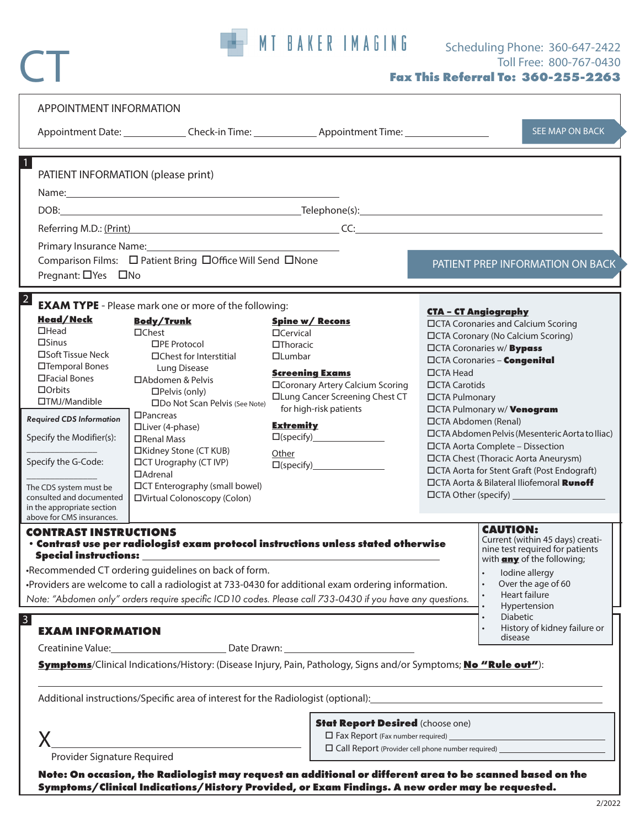

CT

| PATIENT INFORMATION (please print)<br>Pregnant: □ Yes □ No                                                                                                                                                                                                                                                                                | Primary Insurance Name: Names                                                                                                                                                                                                                                                                                                                                                                                                                                     |                                                                                                                                                                                                                                                                                                                                                                                                                         |                                                                                                                                                                                                                                                                                                                                                                                                                                                                                                                                                                                                                                                                             |                                                                                                                                                                                                                                                                    |  |
|-------------------------------------------------------------------------------------------------------------------------------------------------------------------------------------------------------------------------------------------------------------------------------------------------------------------------------------------|-------------------------------------------------------------------------------------------------------------------------------------------------------------------------------------------------------------------------------------------------------------------------------------------------------------------------------------------------------------------------------------------------------------------------------------------------------------------|-------------------------------------------------------------------------------------------------------------------------------------------------------------------------------------------------------------------------------------------------------------------------------------------------------------------------------------------------------------------------------------------------------------------------|-----------------------------------------------------------------------------------------------------------------------------------------------------------------------------------------------------------------------------------------------------------------------------------------------------------------------------------------------------------------------------------------------------------------------------------------------------------------------------------------------------------------------------------------------------------------------------------------------------------------------------------------------------------------------------|--------------------------------------------------------------------------------------------------------------------------------------------------------------------------------------------------------------------------------------------------------------------|--|
|                                                                                                                                                                                                                                                                                                                                           |                                                                                                                                                                                                                                                                                                                                                                                                                                                                   |                                                                                                                                                                                                                                                                                                                                                                                                                         |                                                                                                                                                                                                                                                                                                                                                                                                                                                                                                                                                                                                                                                                             |                                                                                                                                                                                                                                                                    |  |
|                                                                                                                                                                                                                                                                                                                                           |                                                                                                                                                                                                                                                                                                                                                                                                                                                                   |                                                                                                                                                                                                                                                                                                                                                                                                                         |                                                                                                                                                                                                                                                                                                                                                                                                                                                                                                                                                                                                                                                                             |                                                                                                                                                                                                                                                                    |  |
|                                                                                                                                                                                                                                                                                                                                           |                                                                                                                                                                                                                                                                                                                                                                                                                                                                   |                                                                                                                                                                                                                                                                                                                                                                                                                         |                                                                                                                                                                                                                                                                                                                                                                                                                                                                                                                                                                                                                                                                             |                                                                                                                                                                                                                                                                    |  |
|                                                                                                                                                                                                                                                                                                                                           | Comparison Films: □ Patient Bring □ Office Will Send □ None                                                                                                                                                                                                                                                                                                                                                                                                       |                                                                                                                                                                                                                                                                                                                                                                                                                         |                                                                                                                                                                                                                                                                                                                                                                                                                                                                                                                                                                                                                                                                             | PATIENT PREP INFORMATION ON BACK                                                                                                                                                                                                                                   |  |
| $\overline{2}$<br><b>Head/Neck</b><br>$\Box$ Head<br>$\square$ Sinus<br>□Soft Tissue Neck<br>□Temporal Bones<br>□Facial Bones<br>$\Box$ Orbits<br>□TMJ/Mandible<br><b>Required CDS Information</b><br>Specify the Modifier(s):<br>Specify the G-Code:<br>The CDS system must be<br>consulted and documented<br>in the appropriate section | <b>EXAM TYPE</b> - Please mark one or more of the following:<br><b>Body/Trunk</b><br>$\Box$ Chest<br>□PF Protocol<br>□Chest for Interstitial<br>Lung Disease<br>□Abdomen & Pelvis<br>$\Box$ Pelvis (only)<br>□Do Not Scan Pelvis (See Note)<br>$\Box$ Pancreas<br>□Liver (4-phase)<br>□Renal Mass<br>□Kidney Stone (CT KUB)<br><b>IDCT Urography (CT IVP)</b><br>$\Box$ Adrenal<br><b>IDCT</b> Enterography (small bowel)<br><b>IDVirtual Colonoscopy (Colon)</b> | <b>Spine w/ Recons</b><br>$\Box$ Cervical<br>$\Box$ Thoracic<br>$\Box$ Lumbar<br><b>Screening Exams</b><br>□Coronary Artery Calcium Scoring<br><b>ILung Cancer Screening Chest CT</b><br>for high-risk patients<br><b>Extremity</b><br>Other                                                                                                                                                                            | <b>CTA - CT Angiography</b><br><b>IDCTA Coronaries and Calcium Scoring</b><br><b>IDCTA Coronary (No Calcium Scoring)</b><br><b>CITA Coronaries w/Bypass</b><br><b>CCTA Coronaries - Congenital</b><br>$\Box$ CTA Head<br>□CTA Carotids<br>□CTA Pulmonary<br><b>CITA Pulmonary w/ Venogram</b><br>□CTA Abdomen (Renal)<br><b>IDCTA Abdomen Pelvis (Mesenteric Aorta to Iliac)</b><br>□CTA Aorta Complete - Dissection<br><b>IDCTA Chest (Thoracic Aorta Aneurysm)</b><br>□CTA Aorta for Stent Graft (Post Endograft)<br><b>CTA Aorta &amp; Bilateral Iliofemoral Runoff</b><br>$\Box$ CTA Other (specify) $\_\_\_\_\_\_\_\_\_\_\_\_\_\_\_\_\_\_\_\_\_\_\_\_\_\_\_\_\_\_\_\_$ |                                                                                                                                                                                                                                                                    |  |
| above for CMS insurances.<br><b>CONTRAST INSTRUCTIONS</b><br><b>Special instructions:</b><br>3<br><b>EXAM INFORMATION</b>                                                                                                                                                                                                                 | •Recommended CT ordering guidelines on back of form.                                                                                                                                                                                                                                                                                                                                                                                                              | • Contrast use per radiologist exam protocol instructions unless stated otherwise<br>-Providers are welcome to call a radiologist at 733-0430 for additional exam ordering information.<br>Note: "Abdomen only" orders require specific ICD10 codes. Please call 733-0430 if you have any questions.<br>Symptoms/Clinical Indications/History: (Disease Injury, Pain, Pathology, Signs and/or Symptoms; No "Rule out"): |                                                                                                                                                                                                                                                                                                                                                                                                                                                                                                                                                                                                                                                                             | <b>CAUTION:</b><br>Current (within 45 days) creati-<br>nine test required for patients<br>with <b>any</b> of the following;<br>lodine allergy<br>Over the age of 60<br>Heart failure<br>Hypertension<br><b>Diabetic</b><br>History of kidney failure or<br>disease |  |
|                                                                                                                                                                                                                                                                                                                                           |                                                                                                                                                                                                                                                                                                                                                                                                                                                                   | Additional instructions/Specific area of interest for the Radiologist (optional): 1998 1999 1999 1999 1999 199                                                                                                                                                                                                                                                                                                          |                                                                                                                                                                                                                                                                                                                                                                                                                                                                                                                                                                                                                                                                             |                                                                                                                                                                                                                                                                    |  |
| Provider Signature Required                                                                                                                                                                                                                                                                                                               |                                                                                                                                                                                                                                                                                                                                                                                                                                                                   |                                                                                                                                                                                                                                                                                                                                                                                                                         | <b>Stat Report Desired (choose one)</b><br>□ Fax Report (Fax number required)<br>□ Call Report (Provider cell phone number required)                                                                                                                                                                                                                                                                                                                                                                                                                                                                                                                                        |                                                                                                                                                                                                                                                                    |  |